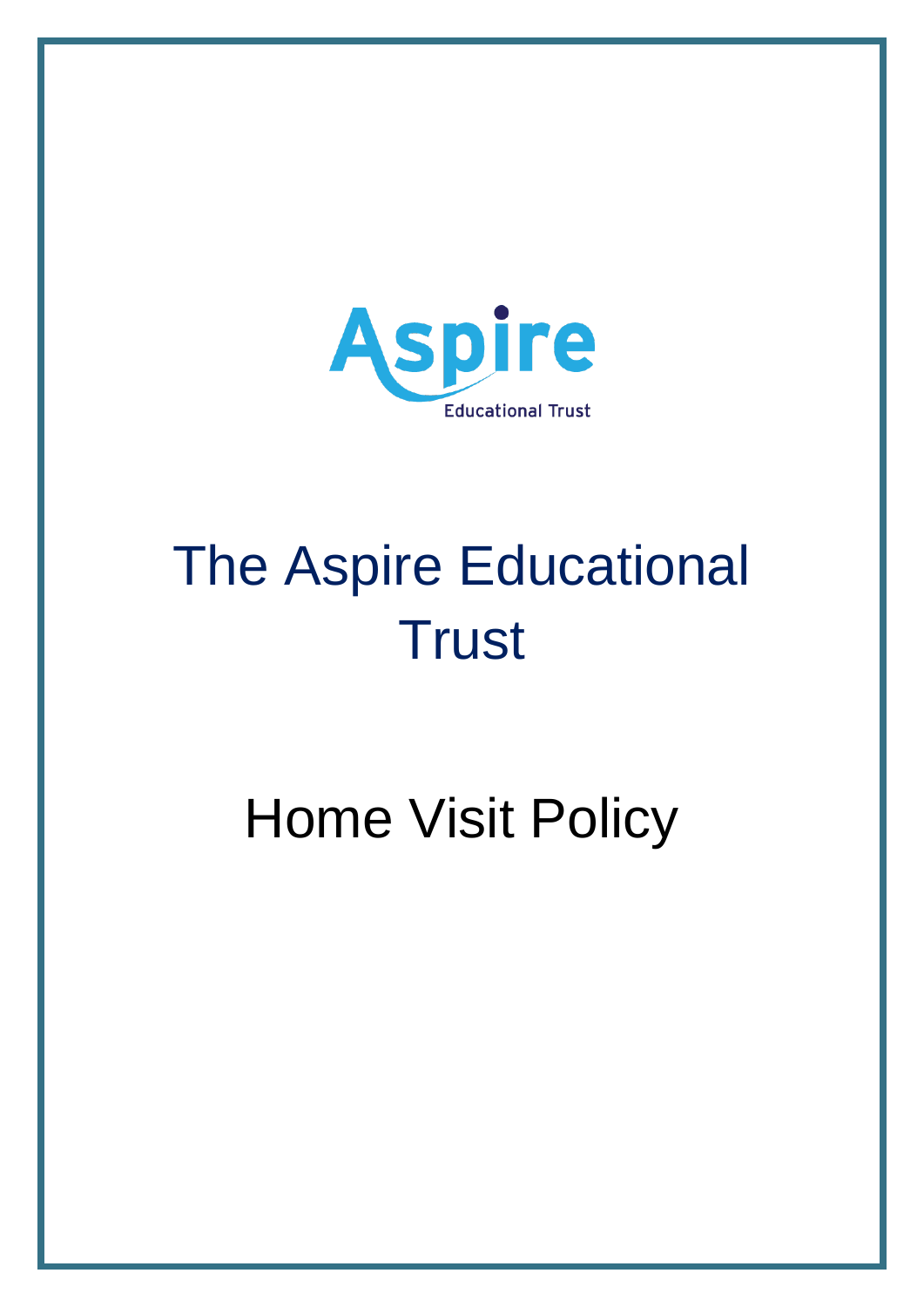

# The Aspire Educational **Trust**

Home Visit Policy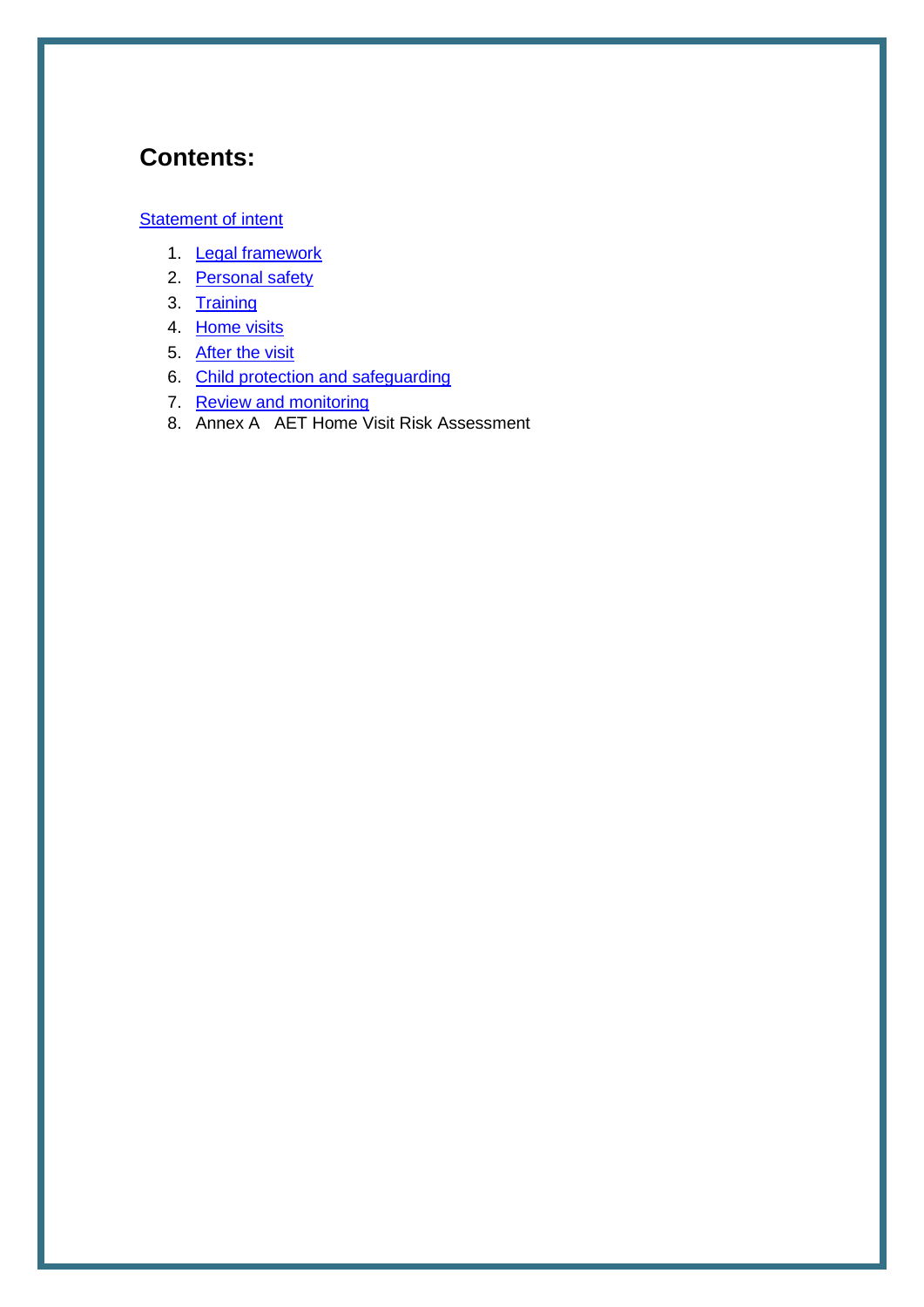## **Contents:**

#### **[Statement of intent](#page-2-0)**

- 1. [Legal framework](#page-3-0)
- 2. [Personal safety](#page-3-1)
- 3. [Training](#page-5-0)
- 4. [Home visits](#page-5-1)
- 5. [After the visit](#page-6-0)
- 6. [Child protection and safeguarding](#page-6-1)
- 7. [Review and monitoring](#page-6-2)
- 8. Annex A AET Home Visit Risk Assessment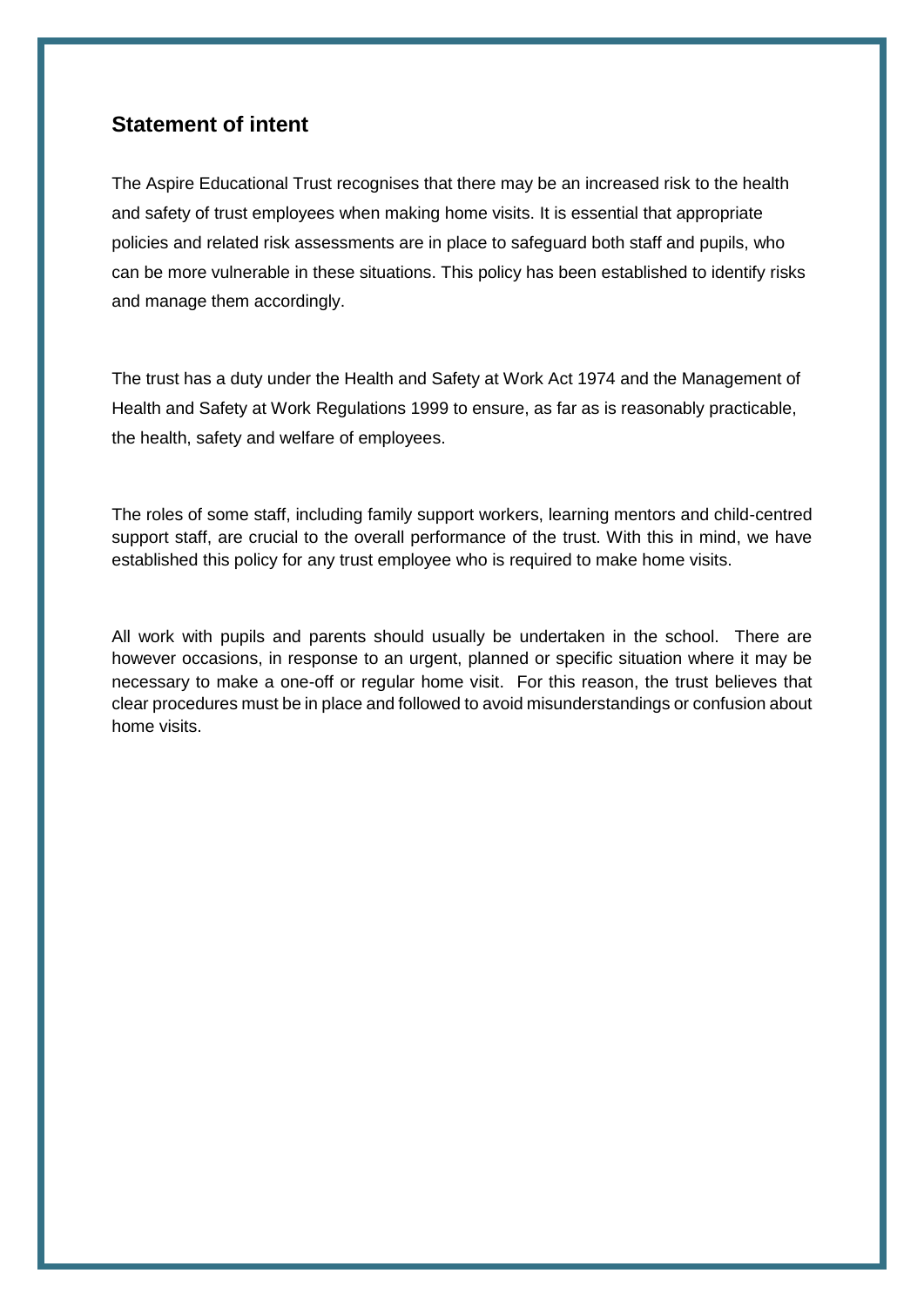#### <span id="page-2-0"></span>**Statement of intent**

The Aspire Educational Trust recognises that there may be an increased risk to the health and safety of trust employees when making home visits. It is essential that appropriate policies and related risk assessments are in place to safeguard both staff and pupils, who can be more vulnerable in these situations. This policy has been established to identify risks and manage them accordingly.

The trust has a duty under the Health and Safety at Work Act 1974 and the Management of Health and Safety at Work Regulations 1999 to ensure, as far as is reasonably practicable, the health, safety and welfare of employees.

The roles of some staff, including family support workers, learning mentors and child-centred support staff, are crucial to the overall performance of the trust. With this in mind, we have established this policy for any trust employee who is required to make home visits.

All work with pupils and parents should usually be undertaken in the school. There are however occasions, in response to an urgent, planned or specific situation where it may be necessary to make a one-off or regular home visit. For this reason, the trust believes that clear procedures must be in place and followed to avoid misunderstandings or confusion about home visits.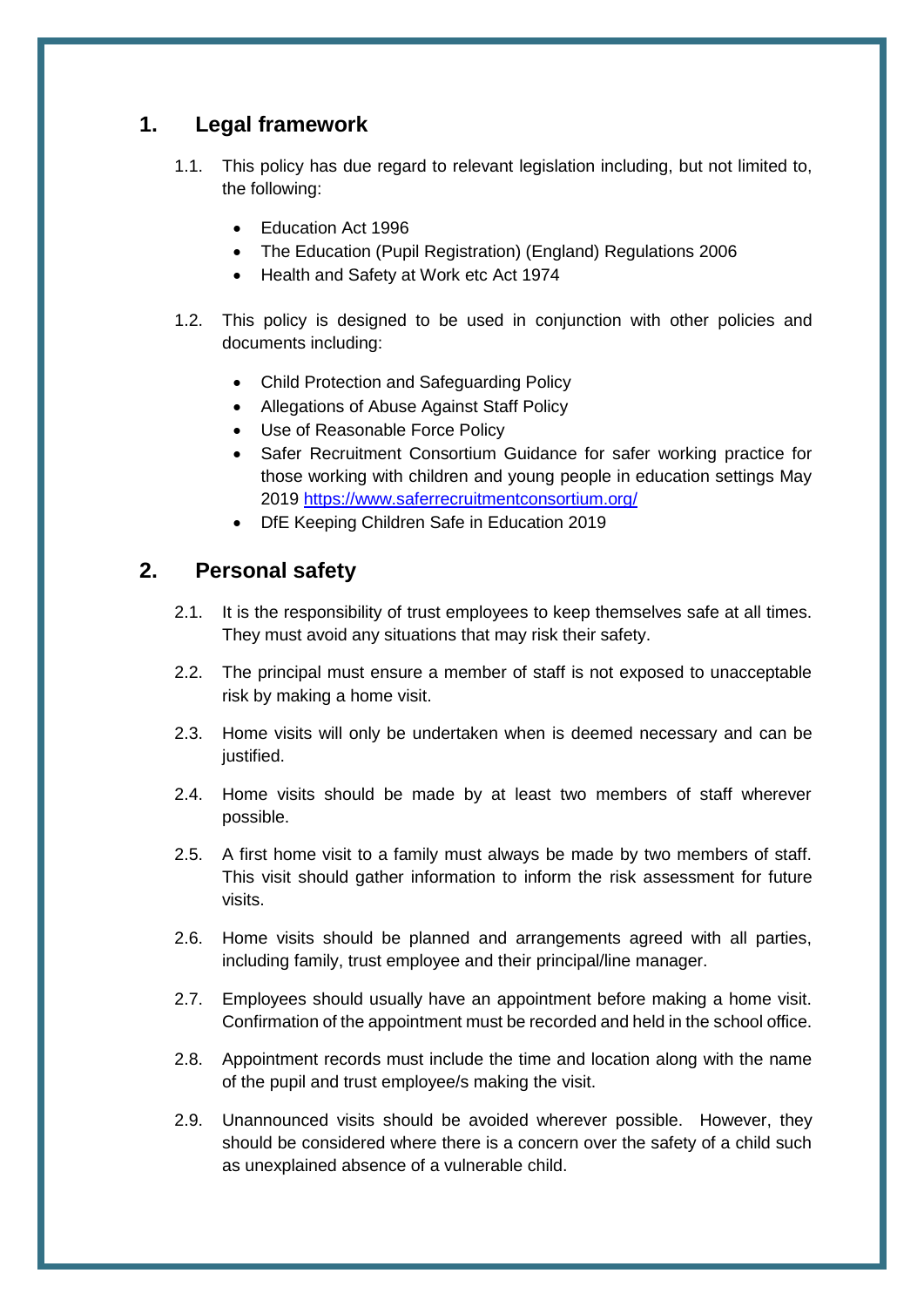## <span id="page-3-0"></span>**1. Legal framework**

- 1.1. This policy has due regard to relevant legislation including, but not limited to, the following:
	- Education Act 1996
	- The Education (Pupil Registration) (England) Regulations 2006
	- Health and Safety at Work etc Act 1974
- 1.2. This policy is designed to be used in conjunction with other policies and documents including:
	- Child Protection and Safeguarding Policy
	- Allegations of Abuse Against Staff Policy
	- Use of Reasonable Force Policy
	- Safer Recruitment Consortium Guidance for safer working practice for those working with children and young people in education settings May 2019 <https://www.saferrecruitmentconsortium.org/>
	- DfE Keeping Children Safe in Education 2019

## <span id="page-3-1"></span>**2. Personal safety**

- 2.1. It is the responsibility of trust employees to keep themselves safe at all times. They must avoid any situations that may risk their safety.
- 2.2. The principal must ensure a member of staff is not exposed to unacceptable risk by making a home visit.
- 2.3. Home visits will only be undertaken when is deemed necessary and can be justified.
- 2.4. Home visits should be made by at least two members of staff wherever possible.
- 2.5. A first home visit to a family must always be made by two members of staff. This visit should gather information to inform the risk assessment for future visits.
- 2.6. Home visits should be planned and arrangements agreed with all parties, including family, trust employee and their principal/line manager.
- 2.7. Employees should usually have an appointment before making a home visit. Confirmation of the appointment must be recorded and held in the school office.
- 2.8. Appointment records must include the time and location along with the name of the pupil and trust employee/s making the visit.
- 2.9. Unannounced visits should be avoided wherever possible. However, they should be considered where there is a concern over the safety of a child such as unexplained absence of a vulnerable child.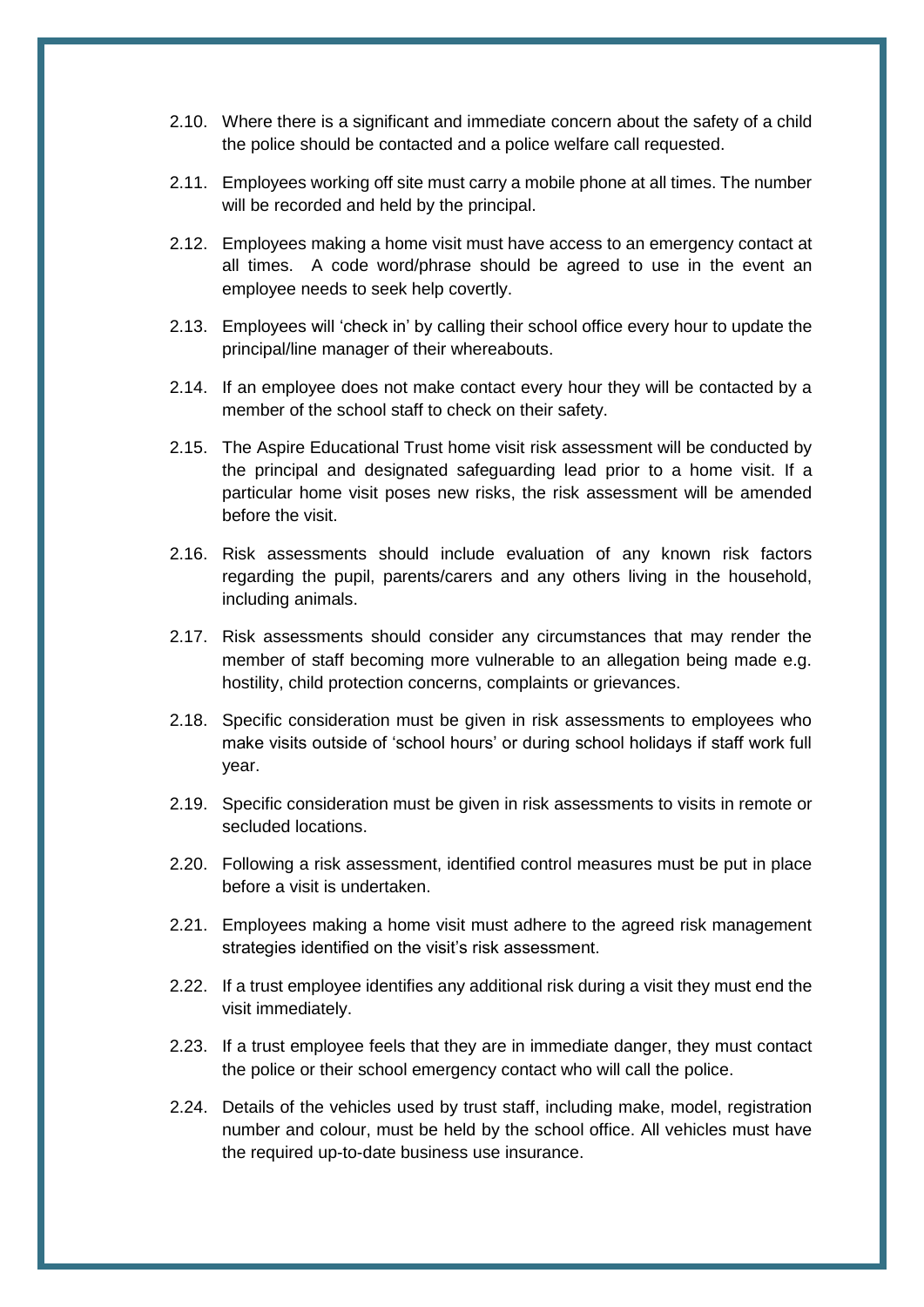- 2.10. Where there is a significant and immediate concern about the safety of a child the police should be contacted and a police welfare call requested.
- 2.11. Employees working off site must carry a mobile phone at all times. The number will be recorded and held by the principal.
- 2.12. Employees making a home visit must have access to an emergency contact at all times. A code word/phrase should be agreed to use in the event an employee needs to seek help covertly.
- 2.13. Employees will 'check in' by calling their school office every hour to update the principal/line manager of their whereabouts.
- 2.14. If an employee does not make contact every hour they will be contacted by a member of the school staff to check on their safety.
- 2.15. The Aspire Educational Trust home visit risk assessment will be conducted by the principal and designated safeguarding lead prior to a home visit. If a particular home visit poses new risks, the risk assessment will be amended before the visit.
- 2.16. Risk assessments should include evaluation of any known risk factors regarding the pupil, parents/carers and any others living in the household, including animals.
- 2.17. Risk assessments should consider any circumstances that may render the member of staff becoming more vulnerable to an allegation being made e.g. hostility, child protection concerns, complaints or grievances.
- 2.18. Specific consideration must be given in risk assessments to employees who make visits outside of 'school hours' or during school holidays if staff work full year.
- 2.19. Specific consideration must be given in risk assessments to visits in remote or secluded locations.
- 2.20. Following a risk assessment, identified control measures must be put in place before a visit is undertaken.
- 2.21. Employees making a home visit must adhere to the agreed risk management strategies identified on the visit's risk assessment.
- 2.22. If a trust employee identifies any additional risk during a visit they must end the visit immediately.
- 2.23. If a trust employee feels that they are in immediate danger, they must contact the police or their school emergency contact who will call the police.
- 2.24. Details of the vehicles used by trust staff, including make, model, registration number and colour, must be held by the school office. All vehicles must have the required up-to-date business use insurance.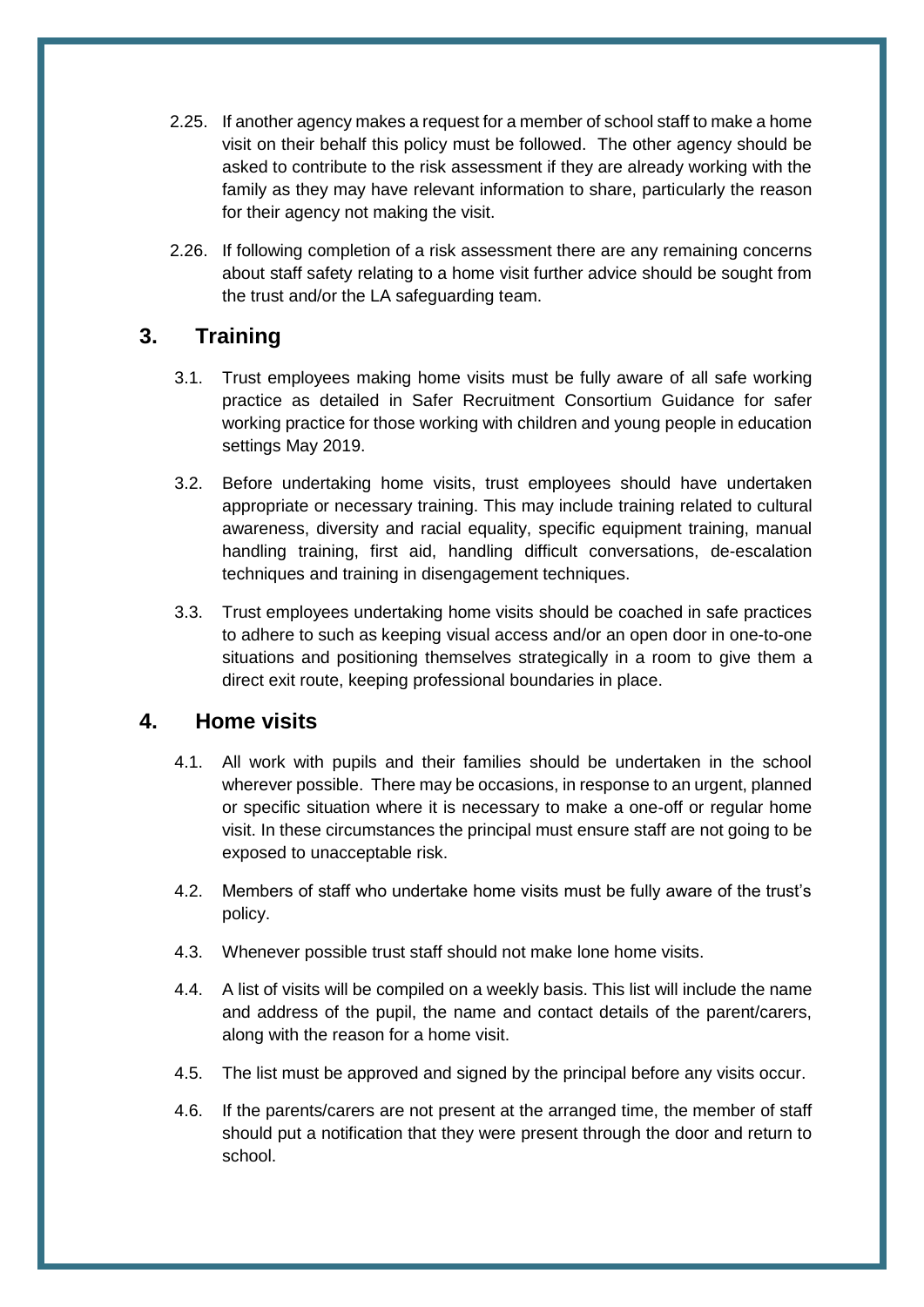- 2.25. If another agency makes a request for a member of school staff to make a home visit on their behalf this policy must be followed. The other agency should be asked to contribute to the risk assessment if they are already working with the family as they may have relevant information to share, particularly the reason for their agency not making the visit.
- 2.26. If following completion of a risk assessment there are any remaining concerns about staff safety relating to a home visit further advice should be sought from the trust and/or the LA safeguarding team.

## <span id="page-5-0"></span>**3. Training**

- 3.1. Trust employees making home visits must be fully aware of all safe working practice as detailed in Safer Recruitment Consortium Guidance for safer working practice for those working with children and young people in education settings May 2019.
- 3.2. Before undertaking home visits, trust employees should have undertaken appropriate or necessary training. This may include training related to cultural awareness, diversity and racial equality, specific equipment training, manual handling training, first aid, handling difficult conversations, de-escalation techniques and training in disengagement techniques.
- 3.3. Trust employees undertaking home visits should be coached in safe practices to adhere to such as keeping visual access and/or an open door in one-to-one situations and positioning themselves strategically in a room to give them a direct exit route, keeping professional boundaries in place.

#### <span id="page-5-1"></span>**4. Home visits**

- 4.1. All work with pupils and their families should be undertaken in the school wherever possible. There may be occasions, in response to an urgent, planned or specific situation where it is necessary to make a one-off or regular home visit. In these circumstances the principal must ensure staff are not going to be exposed to unacceptable risk.
- 4.2. Members of staff who undertake home visits must be fully aware of the trust's policy.
- 4.3. Whenever possible trust staff should not make lone home visits.
- 4.4. A list of visits will be compiled on a weekly basis. This list will include the name and address of the pupil, the name and contact details of the parent/carers, along with the reason for a home visit.
- 4.5. The list must be approved and signed by the principal before any visits occur.
- 4.6. If the parents/carers are not present at the arranged time, the member of staff should put a notification that they were present through the door and return to school.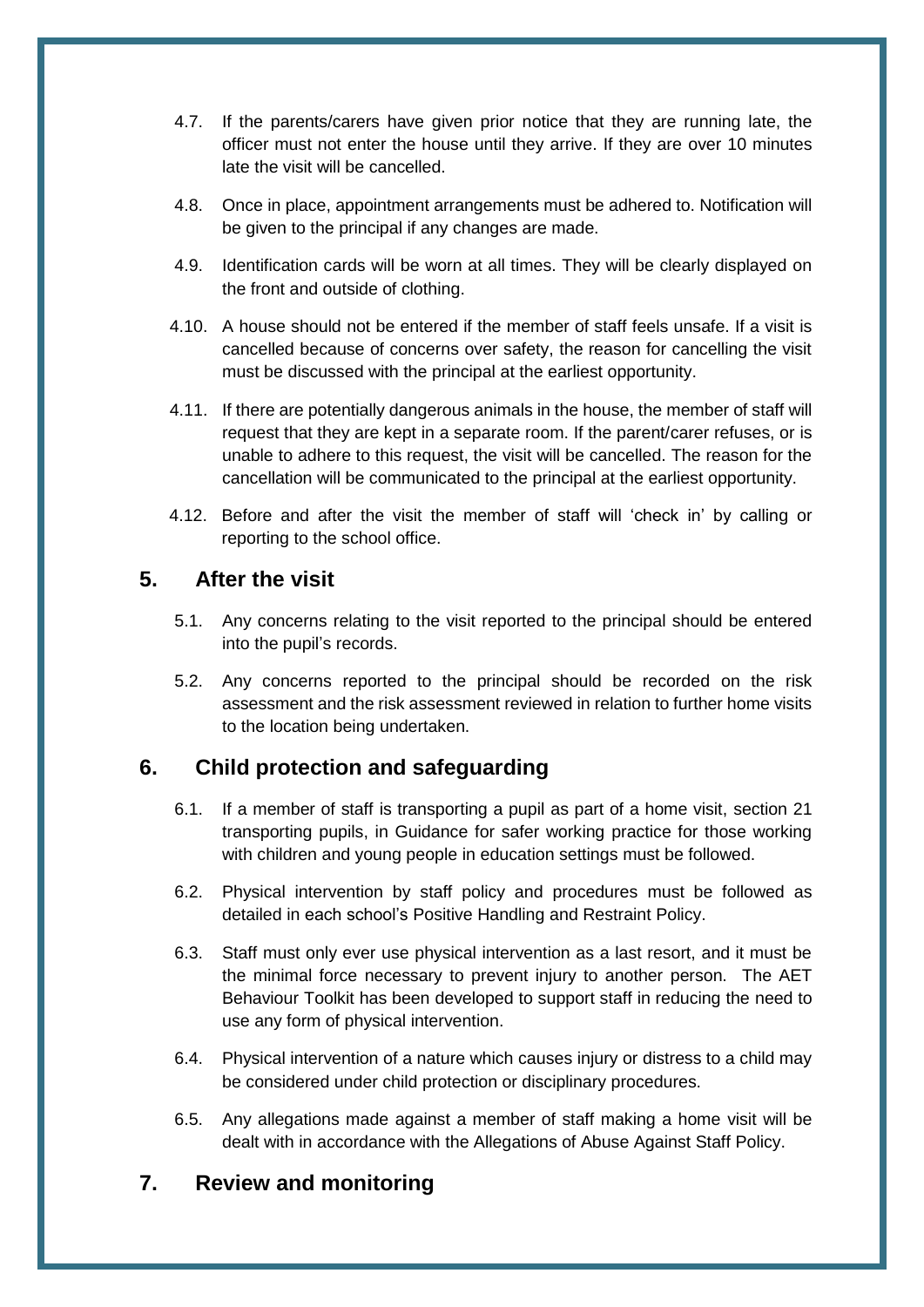- 4.7. If the parents/carers have given prior notice that they are running late, the officer must not enter the house until they arrive. If they are over 10 minutes late the visit will be cancelled.
- 4.8. Once in place, appointment arrangements must be adhered to. Notification will be given to the principal if any changes are made.
- 4.9. Identification cards will be worn at all times. They will be clearly displayed on the front and outside of clothing.
- 4.10. A house should not be entered if the member of staff feels unsafe. If a visit is cancelled because of concerns over safety, the reason for cancelling the visit must be discussed with the principal at the earliest opportunity.
- 4.11. If there are potentially dangerous animals in the house, the member of staff will request that they are kept in a separate room. If the parent/carer refuses, or is unable to adhere to this request, the visit will be cancelled. The reason for the cancellation will be communicated to the principal at the earliest opportunity.
- 4.12. Before and after the visit the member of staff will 'check in' by calling or reporting to the school office.

#### <span id="page-6-0"></span>**5. After the visit**

- 5.1. Any concerns relating to the visit reported to the principal should be entered into the pupil's records.
- 5.2. Any concerns reported to the principal should be recorded on the risk assessment and the risk assessment reviewed in relation to further home visits to the location being undertaken.

## <span id="page-6-1"></span>**6. Child protection and safeguarding**

- 6.1. If a member of staff is transporting a pupil as part of a home visit, section 21 transporting pupils, in Guidance for safer working practice for those working with children and young people in education settings must be followed.
- 6.2. Physical intervention by staff policy and procedures must be followed as detailed in each school's Positive Handling and Restraint Policy.
- 6.3. Staff must only ever use physical intervention as a last resort, and it must be the minimal force necessary to prevent injury to another person. The AET Behaviour Toolkit has been developed to support staff in reducing the need to use any form of physical intervention.
- 6.4. Physical intervention of a nature which causes injury or distress to a child may be considered under child protection or disciplinary procedures.
- 6.5. Any allegations made against a member of staff making a home visit will be dealt with in accordance with the Allegations of Abuse Against Staff Policy.

## <span id="page-6-2"></span>**7. Review and monitoring**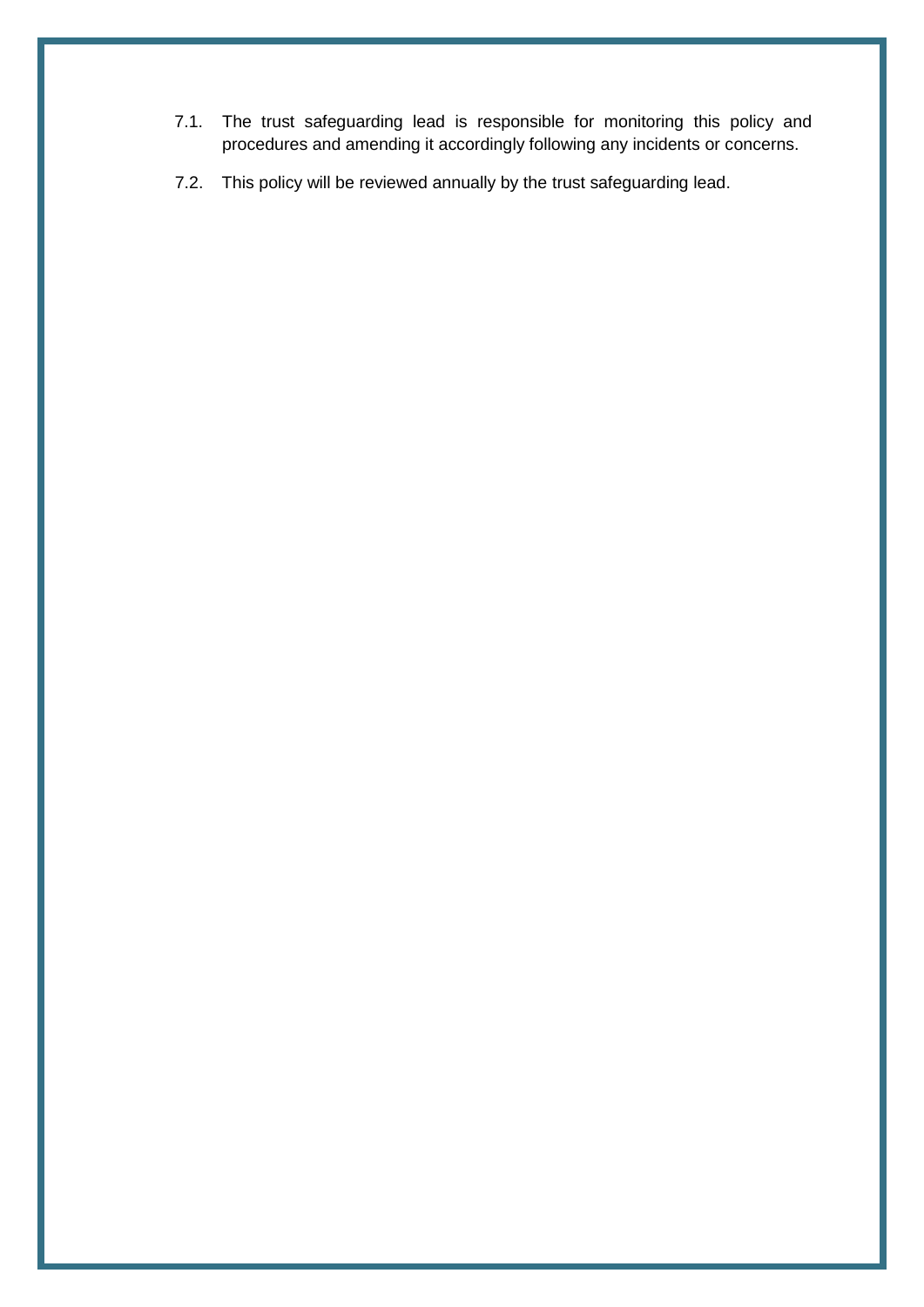- 7.1. The trust safeguarding lead is responsible for monitoring this policy and procedures and amending it accordingly following any incidents or concerns.
- 7.2. This policy will be reviewed annually by the trust safeguarding lead.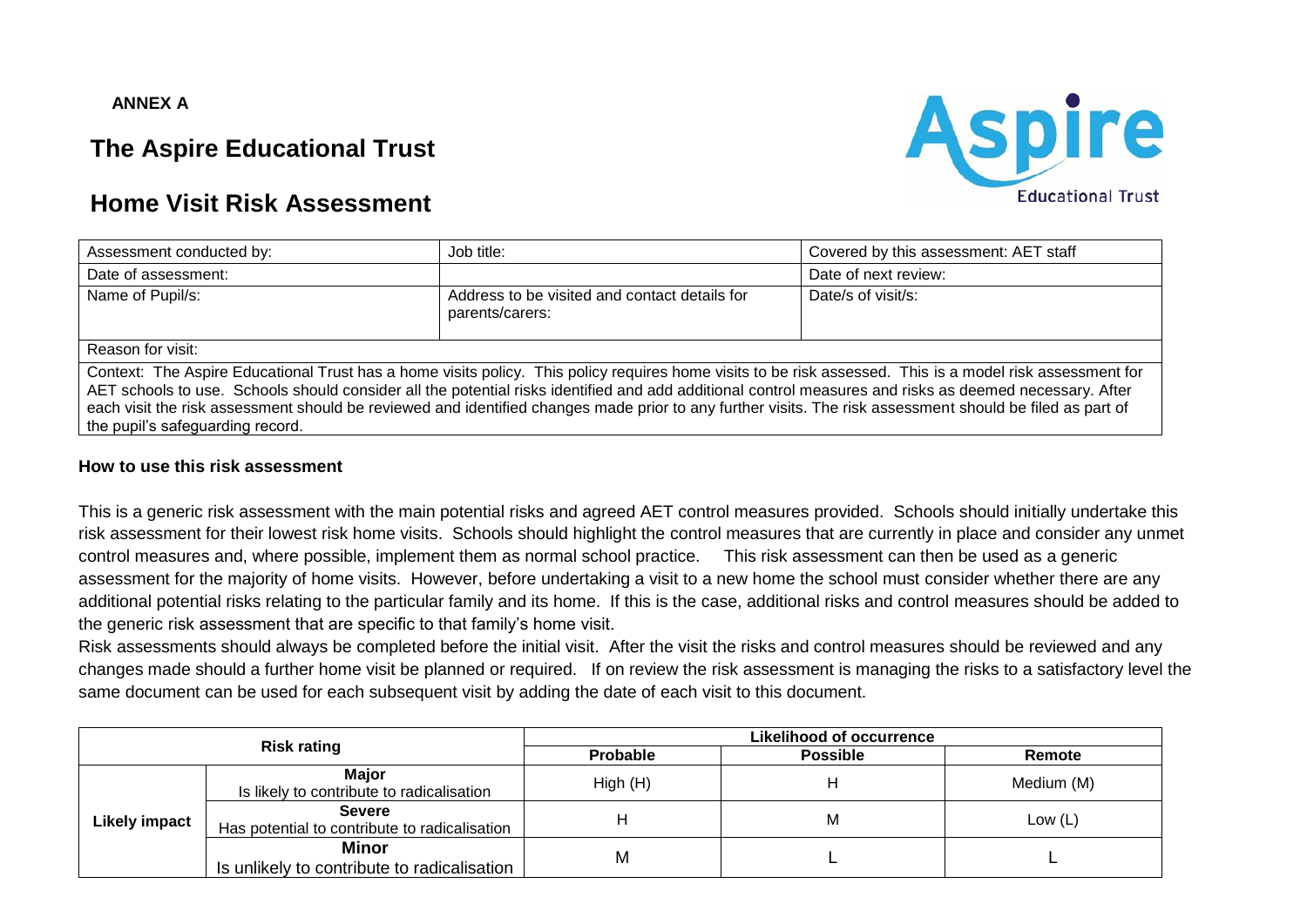#### **ANNEX A**

# **The Aspire Educational Trust**



# **Home Visit Risk Assessment**

| Assessment conducted by:                                                                                                                                                                                                                                                                                                                                                                                                                                                                                              | Job title:                                                       | Covered by this assessment: AET staff |  |  |  |  |  |  |
|-----------------------------------------------------------------------------------------------------------------------------------------------------------------------------------------------------------------------------------------------------------------------------------------------------------------------------------------------------------------------------------------------------------------------------------------------------------------------------------------------------------------------|------------------------------------------------------------------|---------------------------------------|--|--|--|--|--|--|
| Date of assessment:                                                                                                                                                                                                                                                                                                                                                                                                                                                                                                   |                                                                  | Date of next review:                  |  |  |  |  |  |  |
| Name of Pupil/s:                                                                                                                                                                                                                                                                                                                                                                                                                                                                                                      | Address to be visited and contact details for<br>parents/carers: | Date/s of visit/s:                    |  |  |  |  |  |  |
| Reason for visit:                                                                                                                                                                                                                                                                                                                                                                                                                                                                                                     |                                                                  |                                       |  |  |  |  |  |  |
| Context: The Aspire Educational Trust has a home visits policy. This policy requires home visits to be risk assessed. This is a model risk assessment for<br>AET schools to use. Schools should consider all the potential risks identified and add additional control measures and risks as deemed necessary. After<br>each visit the risk assessment should be reviewed and identified changes made prior to any further visits. The risk assessment should be filed as part of<br>the pupil's safeguarding record. |                                                                  |                                       |  |  |  |  |  |  |

#### **How to use this risk assessment**

This is a generic risk assessment with the main potential risks and agreed AET control measures provided. Schools should initially undertake this risk assessment for their lowest risk home visits. Schools should highlight the control measures that are currently in place and consider any unmet control measures and, where possible, implement them as normal school practice. This risk assessment can then be used as a generic assessment for the majority of home visits. However, before undertaking a visit to a new home the school must consider whether there are any additional potential risks relating to the particular family and its home. If this is the case, additional risks and control measures should be added to the generic risk assessment that are specific to that family's home visit.

Risk assessments should always be completed before the initial visit. After the visit the risks and control measures should be reviewed and any changes made should a further home visit be planned or required. If on review the risk assessment is managing the risks to a satisfactory level the same document can be used for each subsequent visit by adding the date of each visit to this document.

| <b>Risk rating</b>   |                                                                | Likelihood of occurrence |                 |            |  |
|----------------------|----------------------------------------------------------------|--------------------------|-----------------|------------|--|
|                      |                                                                | Probable                 | <b>Possible</b> | Remote     |  |
| <b>Likely impact</b> | <b>Major</b><br>Is likely to contribute to radicalisation      | High(H)                  |                 | Medium (M) |  |
|                      | <b>Severe</b><br>Has potential to contribute to radicalisation |                          | М               | Low $(L)$  |  |
|                      | Minor<br>Is unlikely to contribute to radicalisation           | M                        |                 |            |  |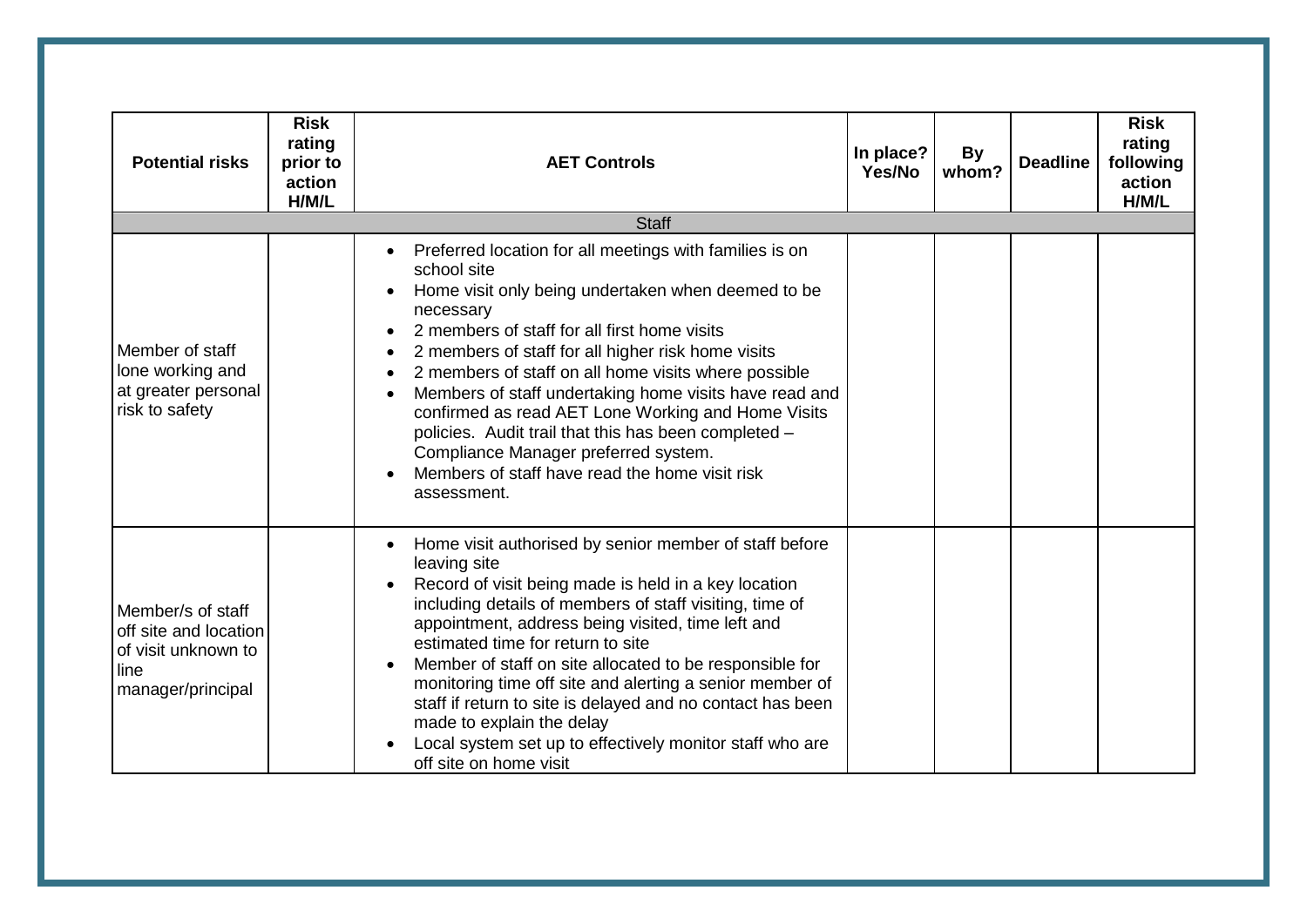| <b>Potential risks</b>                                                                         | <b>Risk</b><br>rating<br>prior to<br>action<br>H/M/L | <b>AET Controls</b>                                                                                                                                                                                                                                                                                                                                                                                                                                                                                                                                                                                                   | In place?<br>Yes/No | <b>By</b><br>whom? | <b>Deadline</b> | <b>Risk</b><br>rating<br>following<br>action<br>H/M/L |
|------------------------------------------------------------------------------------------------|------------------------------------------------------|-----------------------------------------------------------------------------------------------------------------------------------------------------------------------------------------------------------------------------------------------------------------------------------------------------------------------------------------------------------------------------------------------------------------------------------------------------------------------------------------------------------------------------------------------------------------------------------------------------------------------|---------------------|--------------------|-----------------|-------------------------------------------------------|
|                                                                                                |                                                      | <b>Staff</b>                                                                                                                                                                                                                                                                                                                                                                                                                                                                                                                                                                                                          |                     |                    |                 |                                                       |
| Member of staff<br>lone working and<br>at greater personal<br>risk to safety                   |                                                      | Preferred location for all meetings with families is on<br>school site<br>Home visit only being undertaken when deemed to be<br>necessary<br>2 members of staff for all first home visits<br>2 members of staff for all higher risk home visits<br>$\bullet$<br>2 members of staff on all home visits where possible<br>$\bullet$<br>Members of staff undertaking home visits have read and<br>confirmed as read AET Lone Working and Home Visits<br>policies. Audit trail that this has been completed -<br>Compliance Manager preferred system.<br>Members of staff have read the home visit risk<br>assessment.    |                     |                    |                 |                                                       |
| Member/s of staff<br>off site and location<br>of visit unknown to<br>line<br>manager/principal |                                                      | Home visit authorised by senior member of staff before<br>leaving site<br>Record of visit being made is held in a key location<br>$\bullet$<br>including details of members of staff visiting, time of<br>appointment, address being visited, time left and<br>estimated time for return to site<br>Member of staff on site allocated to be responsible for<br>$\bullet$<br>monitoring time off site and alerting a senior member of<br>staff if return to site is delayed and no contact has been<br>made to explain the delay<br>Local system set up to effectively monitor staff who are<br>off site on home visit |                     |                    |                 |                                                       |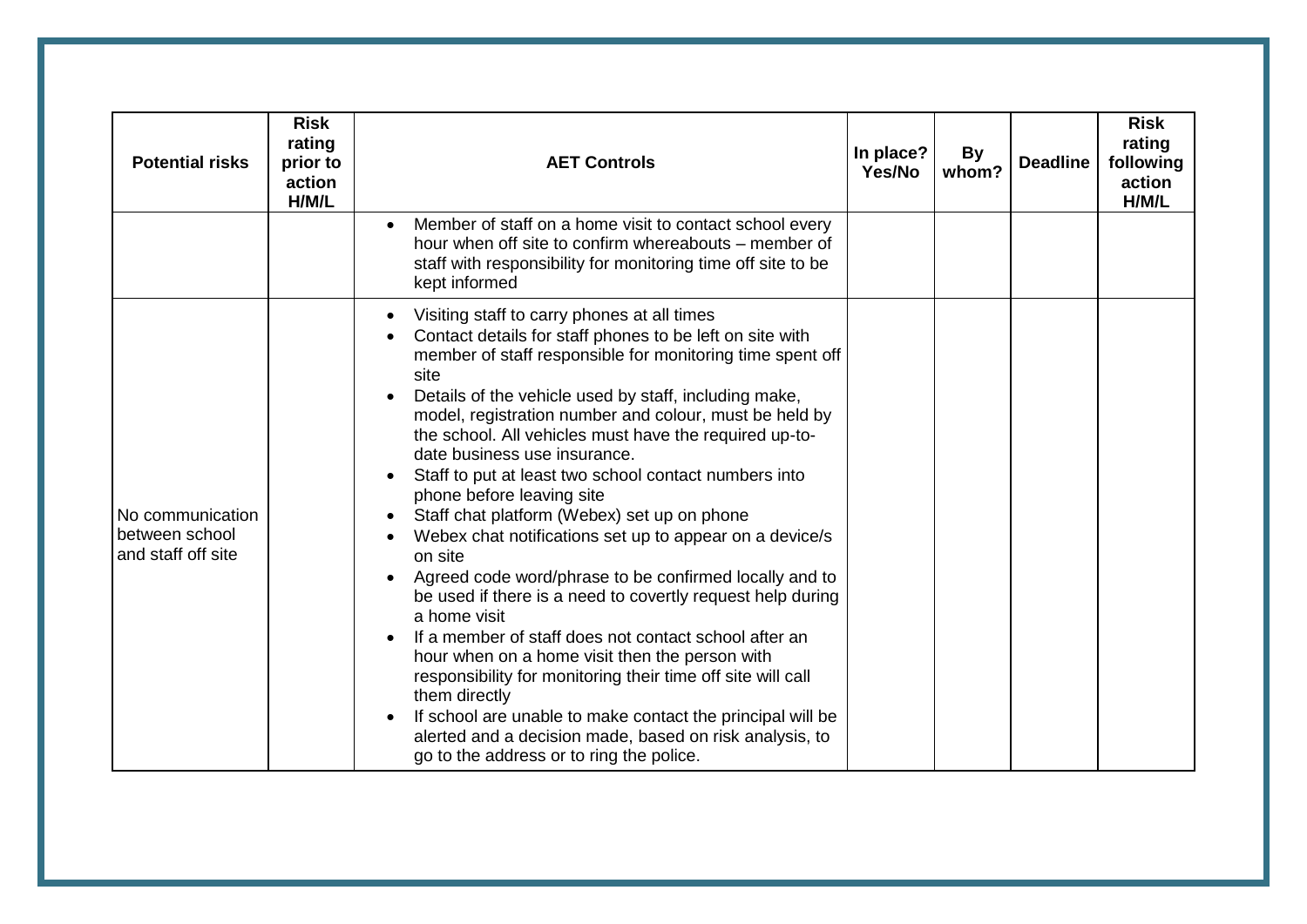| <b>Potential risks</b>                                   | <b>Risk</b><br>rating<br>prior to<br>action<br>H/M/L | <b>AET Controls</b>                                                                                                                                                                                                                                                                                                                                                                                                                                                                                                                                                                                                                                                                                                                                                                                                                                                                                                                                                                                                                                                                                                       | In place?<br>Yes/No | <b>By</b><br>whom? | <b>Deadline</b> | <b>Risk</b><br>rating<br>following<br>action<br>H/M/L |
|----------------------------------------------------------|------------------------------------------------------|---------------------------------------------------------------------------------------------------------------------------------------------------------------------------------------------------------------------------------------------------------------------------------------------------------------------------------------------------------------------------------------------------------------------------------------------------------------------------------------------------------------------------------------------------------------------------------------------------------------------------------------------------------------------------------------------------------------------------------------------------------------------------------------------------------------------------------------------------------------------------------------------------------------------------------------------------------------------------------------------------------------------------------------------------------------------------------------------------------------------------|---------------------|--------------------|-----------------|-------------------------------------------------------|
|                                                          |                                                      | Member of staff on a home visit to contact school every<br>$\bullet$<br>hour when off site to confirm whereabouts – member of<br>staff with responsibility for monitoring time off site to be<br>kept informed                                                                                                                                                                                                                                                                                                                                                                                                                                                                                                                                                                                                                                                                                                                                                                                                                                                                                                            |                     |                    |                 |                                                       |
| No communication<br>between school<br>and staff off site |                                                      | Visiting staff to carry phones at all times<br>Contact details for staff phones to be left on site with<br>member of staff responsible for monitoring time spent off<br>site<br>Details of the vehicle used by staff, including make,<br>model, registration number and colour, must be held by<br>the school. All vehicles must have the required up-to-<br>date business use insurance.<br>Staff to put at least two school contact numbers into<br>phone before leaving site<br>Staff chat platform (Webex) set up on phone<br>Webex chat notifications set up to appear on a device/s<br>on site<br>Agreed code word/phrase to be confirmed locally and to<br>be used if there is a need to covertly request help during<br>a home visit<br>If a member of staff does not contact school after an<br>hour when on a home visit then the person with<br>responsibility for monitoring their time off site will call<br>them directly<br>If school are unable to make contact the principal will be<br>$\bullet$<br>alerted and a decision made, based on risk analysis, to<br>go to the address or to ring the police. |                     |                    |                 |                                                       |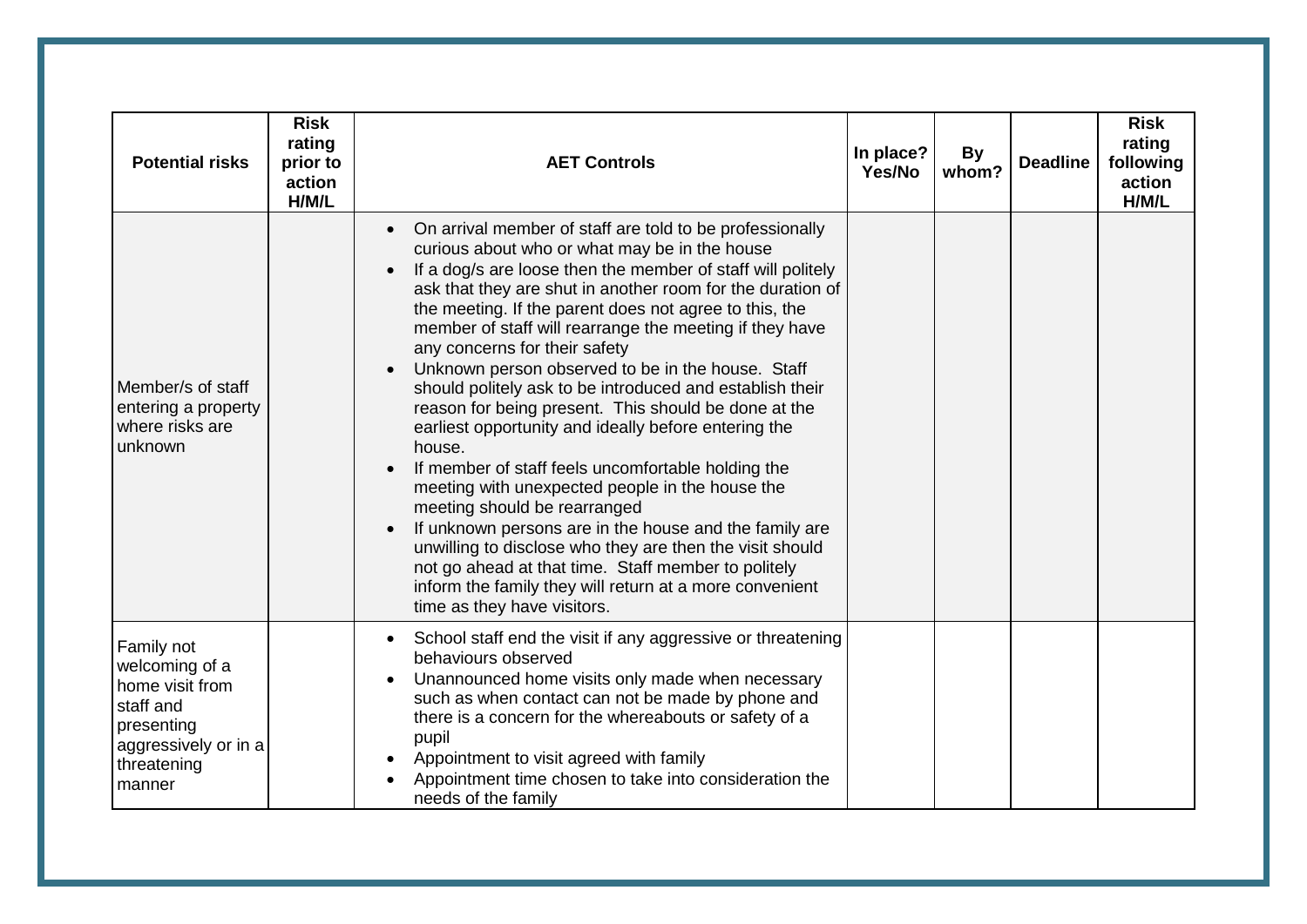| <b>Potential risks</b>                                                                                                      | <b>Risk</b><br>rating<br>prior to<br>action<br>H/M/L | <b>AET Controls</b>                                                                                                                                                                                                                                                                                                                                                                                                                                                                                                                                                                                                                                                                                                                                                                                                                                                                                                                                                                                                                                                  | In place?<br>Yes/No | <b>By</b><br>whom? | <b>Deadline</b> | <b>Risk</b><br>rating<br>following<br>action<br>H/M/L |
|-----------------------------------------------------------------------------------------------------------------------------|------------------------------------------------------|----------------------------------------------------------------------------------------------------------------------------------------------------------------------------------------------------------------------------------------------------------------------------------------------------------------------------------------------------------------------------------------------------------------------------------------------------------------------------------------------------------------------------------------------------------------------------------------------------------------------------------------------------------------------------------------------------------------------------------------------------------------------------------------------------------------------------------------------------------------------------------------------------------------------------------------------------------------------------------------------------------------------------------------------------------------------|---------------------|--------------------|-----------------|-------------------------------------------------------|
| Member/s of staff<br>entering a property<br>where risks are<br>unknown                                                      |                                                      | On arrival member of staff are told to be professionally<br>$\bullet$<br>curious about who or what may be in the house<br>If a dog/s are loose then the member of staff will politely<br>ask that they are shut in another room for the duration of<br>the meeting. If the parent does not agree to this, the<br>member of staff will rearrange the meeting if they have<br>any concerns for their safety<br>Unknown person observed to be in the house. Staff<br>should politely ask to be introduced and establish their<br>reason for being present. This should be done at the<br>earliest opportunity and ideally before entering the<br>house.<br>If member of staff feels uncomfortable holding the<br>meeting with unexpected people in the house the<br>meeting should be rearranged<br>If unknown persons are in the house and the family are<br>unwilling to disclose who they are then the visit should<br>not go ahead at that time. Staff member to politely<br>inform the family they will return at a more convenient<br>time as they have visitors. |                     |                    |                 |                                                       |
| Family not<br>welcoming of a<br>home visit from<br>staff and<br>presenting<br>aggressively or in a<br>threatening<br>manner |                                                      | School staff end the visit if any aggressive or threatening<br>$\bullet$<br>behaviours observed<br>Unannounced home visits only made when necessary<br>such as when contact can not be made by phone and<br>there is a concern for the whereabouts or safety of a<br>pupil<br>Appointment to visit agreed with family<br>Appointment time chosen to take into consideration the<br>needs of the family                                                                                                                                                                                                                                                                                                                                                                                                                                                                                                                                                                                                                                                               |                     |                    |                 |                                                       |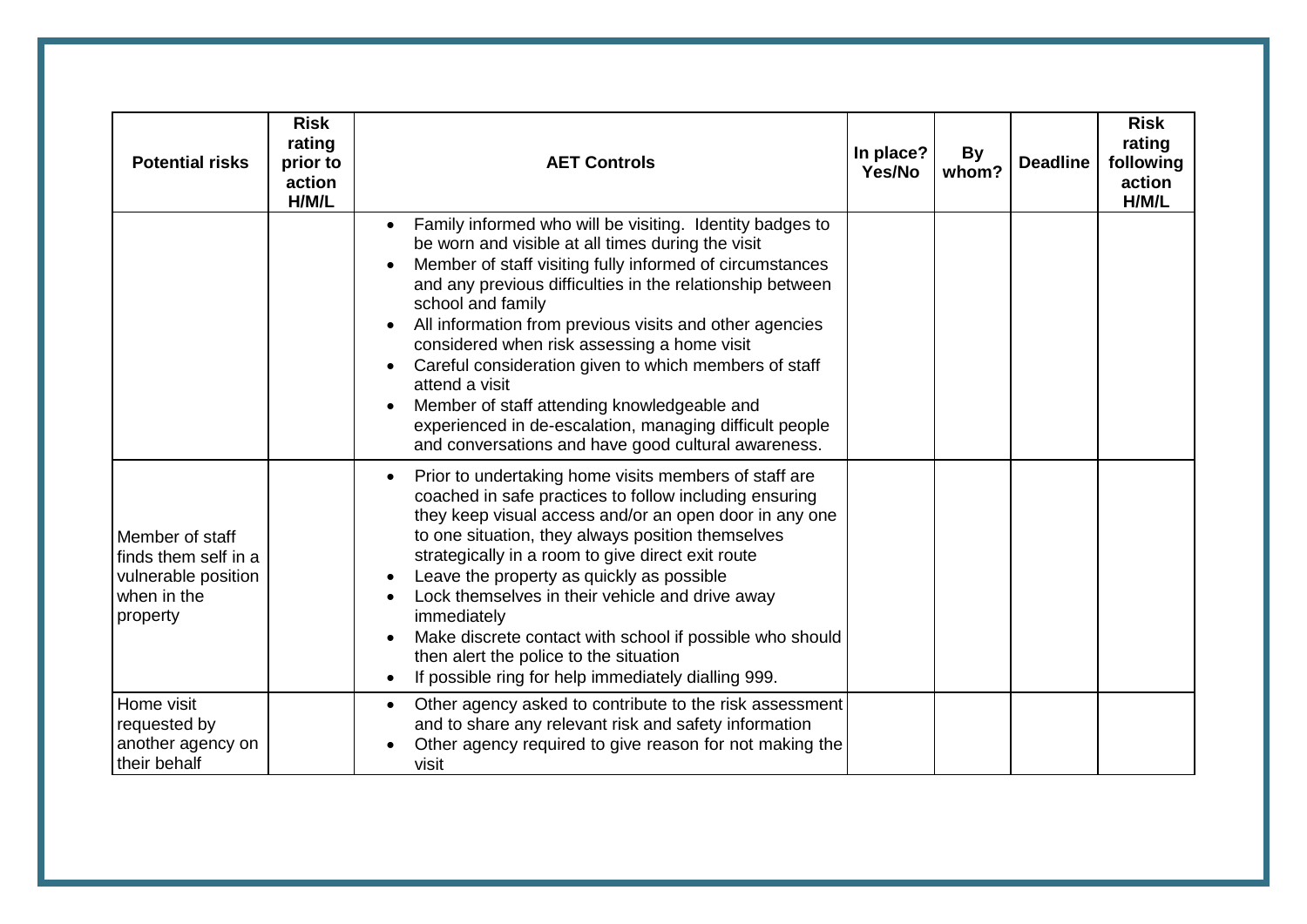| <b>Potential risks</b>                                                                    | <b>Risk</b><br>rating<br>prior to<br>action<br>H/M/L | <b>AET Controls</b>                                                                                                                                                                                                                                                                                                                                                                                                                                                                                                                                                                                                            | In place?<br>Yes/No | <b>By</b><br>whom? | <b>Deadline</b> | <b>Risk</b><br>rating<br>following<br>action<br>H/M/L |
|-------------------------------------------------------------------------------------------|------------------------------------------------------|--------------------------------------------------------------------------------------------------------------------------------------------------------------------------------------------------------------------------------------------------------------------------------------------------------------------------------------------------------------------------------------------------------------------------------------------------------------------------------------------------------------------------------------------------------------------------------------------------------------------------------|---------------------|--------------------|-----------------|-------------------------------------------------------|
|                                                                                           |                                                      | Family informed who will be visiting. Identity badges to<br>be worn and visible at all times during the visit<br>Member of staff visiting fully informed of circumstances<br>and any previous difficulties in the relationship between<br>school and family<br>All information from previous visits and other agencies<br>$\bullet$<br>considered when risk assessing a home visit<br>Careful consideration given to which members of staff<br>attend a visit<br>Member of staff attending knowledgeable and<br>experienced in de-escalation, managing difficult people<br>and conversations and have good cultural awareness. |                     |                    |                 |                                                       |
| Member of staff<br>finds them self in a<br>vulnerable position<br>when in the<br>property |                                                      | Prior to undertaking home visits members of staff are<br>$\bullet$<br>coached in safe practices to follow including ensuring<br>they keep visual access and/or an open door in any one<br>to one situation, they always position themselves<br>strategically in a room to give direct exit route<br>Leave the property as quickly as possible<br>Lock themselves in their vehicle and drive away<br>immediately<br>Make discrete contact with school if possible who should<br>then alert the police to the situation<br>If possible ring for help immediately dialling 999.                                                   |                     |                    |                 |                                                       |
| Home visit<br>requested by<br>another agency on<br>their behalf                           |                                                      | Other agency asked to contribute to the risk assessment<br>$\bullet$<br>and to share any relevant risk and safety information<br>Other agency required to give reason for not making the<br>visit                                                                                                                                                                                                                                                                                                                                                                                                                              |                     |                    |                 |                                                       |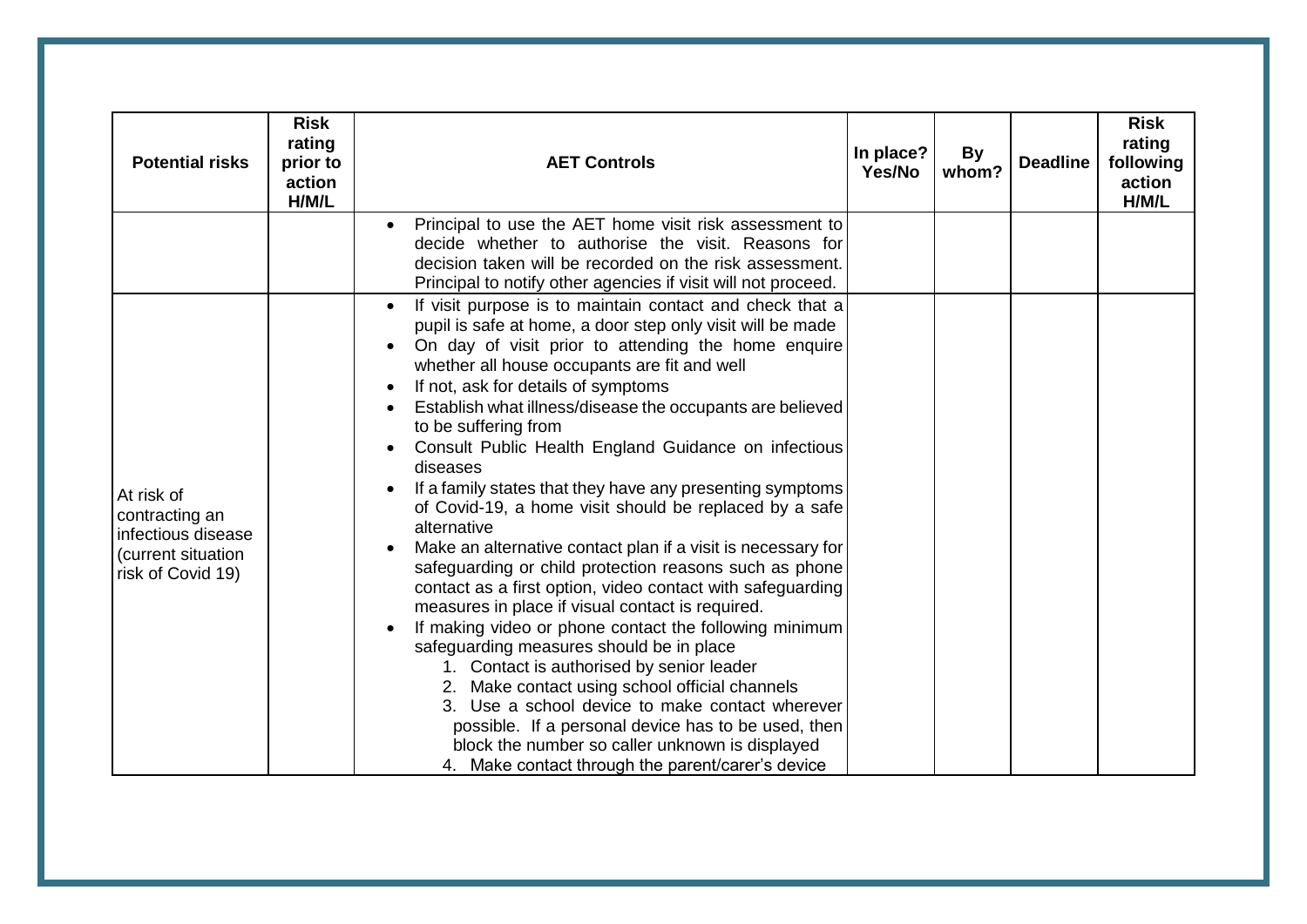| <b>Potential risks</b>                                                                        | <b>Risk</b><br>rating<br>prior to<br>action<br>H/M/L | <b>AET Controls</b>                                                                                                                                                                                                                                                                                                                                                                                                                                                                                                                                                                                                                                                                                                                                                                                                                                                                                                                                                                                                                                                                                                                                                                                                                                                                        | In place?<br>Yes/No | By<br>whom? | <b>Deadline</b> | <b>Risk</b><br>rating<br>following<br>action<br>H/M/L |
|-----------------------------------------------------------------------------------------------|------------------------------------------------------|--------------------------------------------------------------------------------------------------------------------------------------------------------------------------------------------------------------------------------------------------------------------------------------------------------------------------------------------------------------------------------------------------------------------------------------------------------------------------------------------------------------------------------------------------------------------------------------------------------------------------------------------------------------------------------------------------------------------------------------------------------------------------------------------------------------------------------------------------------------------------------------------------------------------------------------------------------------------------------------------------------------------------------------------------------------------------------------------------------------------------------------------------------------------------------------------------------------------------------------------------------------------------------------------|---------------------|-------------|-----------------|-------------------------------------------------------|
|                                                                                               |                                                      | Principal to use the AET home visit risk assessment to<br>decide whether to authorise the visit. Reasons for<br>decision taken will be recorded on the risk assessment.<br>Principal to notify other agencies if visit will not proceed.                                                                                                                                                                                                                                                                                                                                                                                                                                                                                                                                                                                                                                                                                                                                                                                                                                                                                                                                                                                                                                                   |                     |             |                 |                                                       |
| At risk of<br>contracting an<br>infectious disease<br>(current situation<br>risk of Covid 19) |                                                      | If visit purpose is to maintain contact and check that a<br>$\bullet$<br>pupil is safe at home, a door step only visit will be made<br>On day of visit prior to attending the home enquire<br>whether all house occupants are fit and well<br>If not, ask for details of symptoms<br>Establish what illness/disease the occupants are believed<br>$\bullet$<br>to be suffering from<br>Consult Public Health England Guidance on infectious<br>diseases<br>If a family states that they have any presenting symptoms<br>of Covid-19, a home visit should be replaced by a safe<br>alternative<br>Make an alternative contact plan if a visit is necessary for<br>$\bullet$<br>safeguarding or child protection reasons such as phone<br>contact as a first option, video contact with safeguarding<br>measures in place if visual contact is required.<br>If making video or phone contact the following minimum<br>$\bullet$<br>safeguarding measures should be in place<br>1. Contact is authorised by senior leader<br>2. Make contact using school official channels<br>3. Use a school device to make contact wherever<br>possible. If a personal device has to be used, then<br>block the number so caller unknown is displayed<br>4. Make contact through the parent/carer's device |                     |             |                 |                                                       |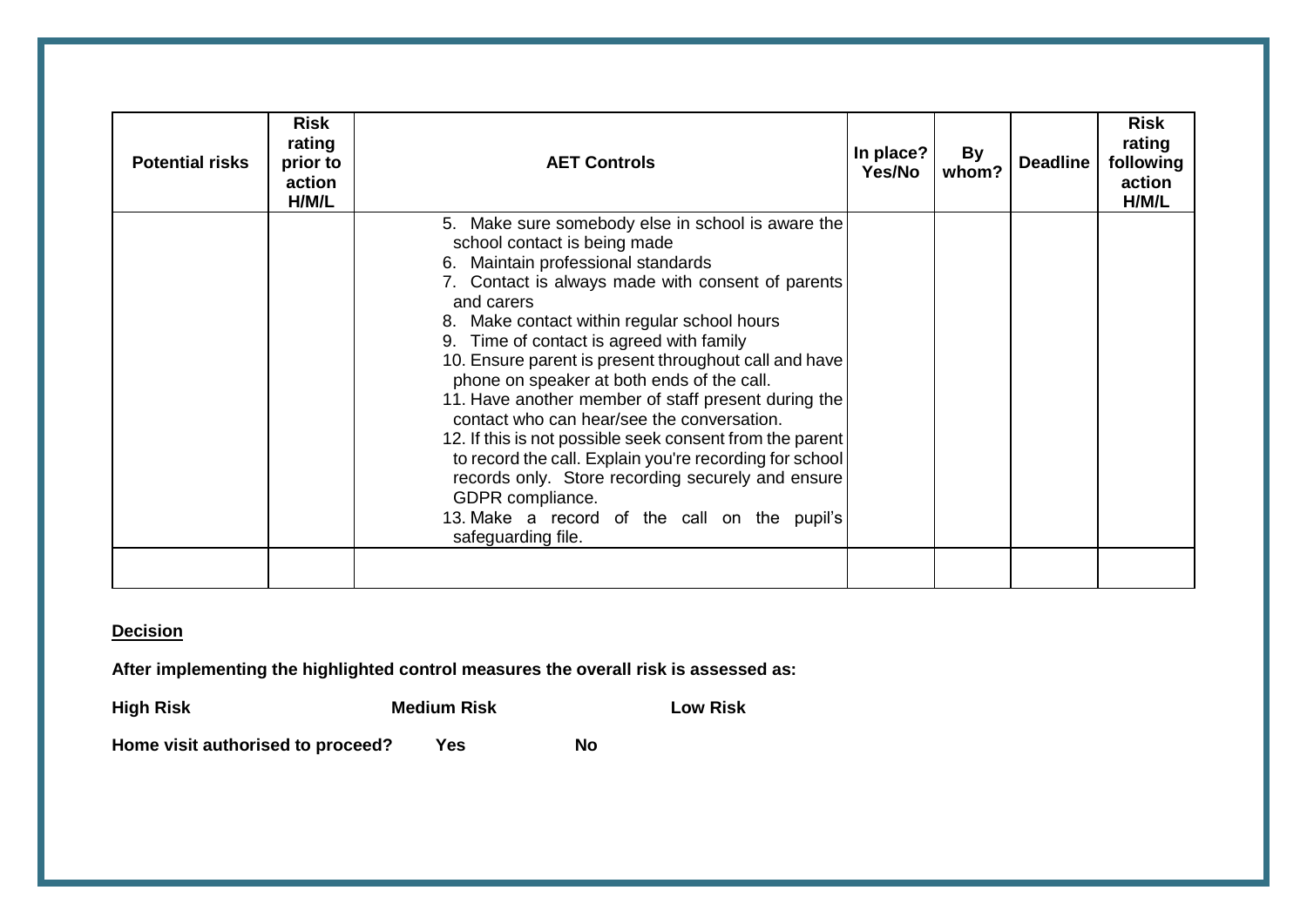| <b>Potential risks</b> | <b>Risk</b><br>rating<br>prior to<br>action<br>H/M/L | <b>AET Controls</b>                                                                                                                                                                                                                                                                                                                                                                                                                                                                                                                                                                                                                                                                                                                                                     | In place?<br>Yes/No | By<br>whom? | <b>Deadline</b> | <b>Risk</b><br>rating<br>following<br>action<br>H/M/L |
|------------------------|------------------------------------------------------|-------------------------------------------------------------------------------------------------------------------------------------------------------------------------------------------------------------------------------------------------------------------------------------------------------------------------------------------------------------------------------------------------------------------------------------------------------------------------------------------------------------------------------------------------------------------------------------------------------------------------------------------------------------------------------------------------------------------------------------------------------------------------|---------------------|-------------|-----------------|-------------------------------------------------------|
|                        |                                                      | 5. Make sure somebody else in school is aware the<br>school contact is being made<br>6. Maintain professional standards<br>7. Contact is always made with consent of parents<br>and carers<br>8. Make contact within regular school hours<br>9. Time of contact is agreed with family<br>10. Ensure parent is present throughout call and have<br>phone on speaker at both ends of the call.<br>11. Have another member of staff present during the<br>contact who can hear/see the conversation.<br>12. If this is not possible seek consent from the parent<br>to record the call. Explain you're recording for school<br>records only. Store recording securely and ensure<br>GDPR compliance.<br>13. Make a record of the call on the pupil's<br>safeguarding file. |                     |             |                 |                                                       |
|                        |                                                      |                                                                                                                                                                                                                                                                                                                                                                                                                                                                                                                                                                                                                                                                                                                                                                         |                     |             |                 |                                                       |

#### **Decision**

**After implementing the highlighted control measures the overall risk is assessed as:**

**High Risk Medium Risk Low Risk** Home visit authorised to proceed? Yes No